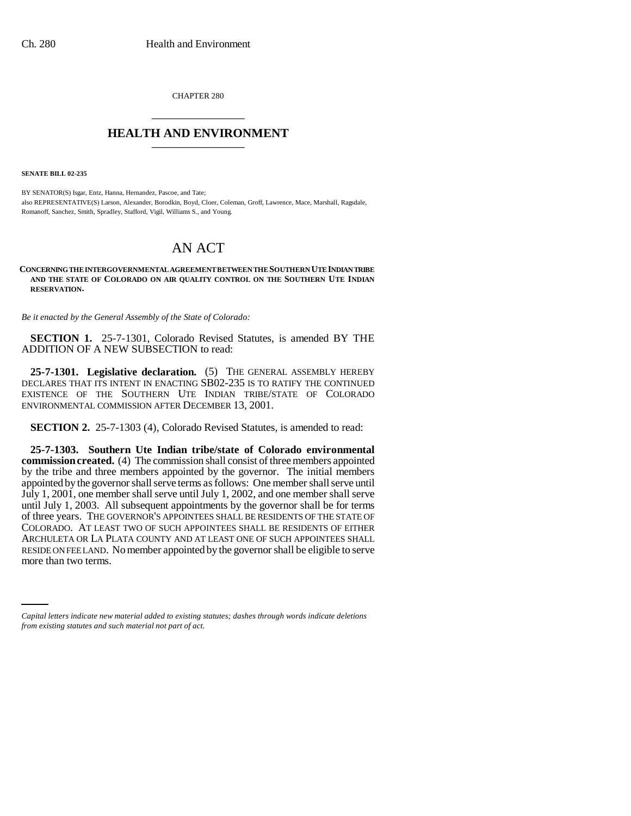CHAPTER 280 \_\_\_\_\_\_\_\_\_\_\_\_\_\_\_

## **HEALTH AND ENVIRONMENT** \_\_\_\_\_\_\_\_\_\_\_\_\_\_\_

**SENATE BILL 02-235**

BY SENATOR(S) Isgar, Entz, Hanna, Hernandez, Pascoe, and Tate; also REPRESENTATIVE(S) Larson, Alexander, Borodkin, Boyd, Cloer, Coleman, Groff, Lawrence, Mace, Marshall, Ragsdale, Romanoff, Sanchez, Smith, Spradley, Stafford, Vigil, Williams S., and Young.

# AN ACT

#### **CONCERNING THE INTERGOVERNMENTAL AGREEMENT BETWEEN THE SOUTHERN UTE INDIAN TRIBE AND THE STATE OF COLORADO ON AIR QUALITY CONTROL ON THE SOUTHERN UTE INDIAN RESERVATION.**

*Be it enacted by the General Assembly of the State of Colorado:*

**SECTION 1.** 25-7-1301, Colorado Revised Statutes, is amended BY THE ADDITION OF A NEW SUBSECTION to read:

**25-7-1301. Legislative declaration.** (5) THE GENERAL ASSEMBLY HEREBY DECLARES THAT ITS INTENT IN ENACTING SB02-235 IS TO RATIFY THE CONTINUED EXISTENCE OF THE SOUTHERN UTE INDIAN TRIBE/STATE OF COLORADO ENVIRONMENTAL COMMISSION AFTER DECEMBER 13, 2001.

**SECTION 2.** 25-7-1303 (4), Colorado Revised Statutes, is amended to read:

RESIDE ON FEE LAND. No member appointed by the governor shall be eligible to serve **25-7-1303. Southern Ute Indian tribe/state of Colorado environmental commission created.** (4) The commission shall consist of three members appointed by the tribe and three members appointed by the governor. The initial members appointed by the governor shall serve terms as follows: One member shall serve until July 1, 2001, one member shall serve until July 1, 2002, and one member shall serve until July 1, 2003. All subsequent appointments by the governor shall be for terms of three years. THE GOVERNOR'S APPOINTEES SHALL BE RESIDENTS OF THE STATE OF COLORADO. AT LEAST TWO OF SUCH APPOINTEES SHALL BE RESIDENTS OF EITHER ARCHULETA OR LA PLATA COUNTY AND AT LEAST ONE OF SUCH APPOINTEES SHALL more than two terms.

*Capital letters indicate new material added to existing statutes; dashes through words indicate deletions from existing statutes and such material not part of act.*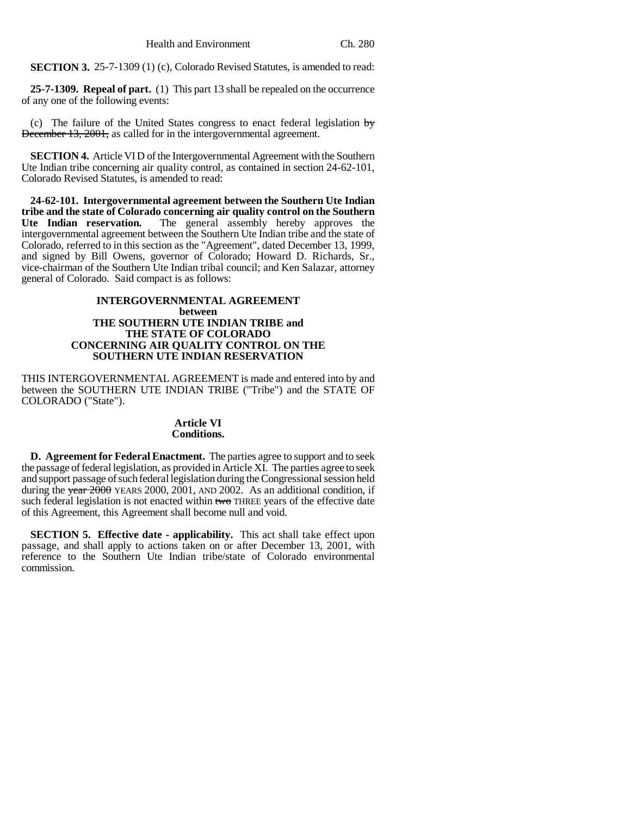**SECTION 3.** 25-7-1309 (1) (c), Colorado Revised Statutes, is amended to read:

**25-7-1309. Repeal of part.** (1) This part 13 shall be repealed on the occurrence of any one of the following events:

(c) The failure of the United States congress to enact federal legislation  $\frac{1}{y}$ December 13, 2001, as called for in the intergovernmental agreement.

**SECTION 4.** Article VI D of the Intergovernmental Agreement with the Southern Ute Indian tribe concerning air quality control, as contained in section 24-62-101, Colorado Revised Statutes, is amended to read:

**24-62-101. Intergovernmental agreement between the Southern Ute Indian tribe and the state of Colorado concerning air quality control on the Southern Ute Indian reservation.** The general assembly hereby approves the intergovernmental agreement between the Southern Ute Indian tribe and the state of Colorado, referred to in this section as the "Agreement", dated December 13, 1999, and signed by Bill Owens, governor of Colorado; Howard D. Richards, Sr., vice-chairman of the Southern Ute Indian tribal council; and Ken Salazar, attorney general of Colorado. Said compact is as follows:

### **INTERGOVERNMENTAL AGREEMENT between THE SOUTHERN UTE INDIAN TRIBE and THE STATE OF COLORADO CONCERNING AIR QUALITY CONTROL ON THE SOUTHERN UTE INDIAN RESERVATION**

THIS INTERGOVERNMENTAL AGREEMENT is made and entered into by and between the SOUTHERN UTE INDIAN TRIBE ("Tribe") and the STATE OF COLORADO ("State").

### **Article VI Conditions.**

**D. Agreement for Federal Enactment.** The parties agree to support and to seek the passage of federal legislation, as provided in Article XI. The parties agree to seek and support passage of such federal legislation during the Congressional session held during the  $\frac{1}{2000}$  YEARS 2000, 2001, AND 2002. As an additional condition, if such federal legislation is not enacted within two THREE years of the effective date of this Agreement, this Agreement shall become null and void.

**SECTION 5. Effective date - applicability.** This act shall take effect upon passage, and shall apply to actions taken on or after December 13, 2001, with reference to the Southern Ute Indian tribe/state of Colorado environmental commission.